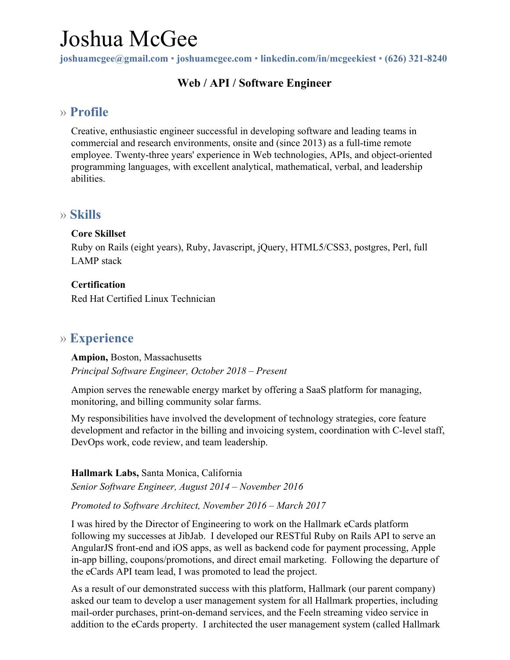# Joshua McGee

**joshuamcgee@gmail.com** • **joshuamcgee.com** • **linkedin.com/in/mcgeekiest** • **(626) 321-8240**

# **Web / API / Software Engineer**

# » **Profile**

Creative, enthusiastic engineer successful in developing software and leading teams in commercial and research environments, onsite and (since 2013) as a full-time remote employee. Twenty-three years' experience in Web technologies, APIs, and object-oriented programming languages, with excellent analytical, mathematical, verbal, and leadership abilities.

# » **Skills**

#### **Core Skillset**

Ruby on Rails (eight years), Ruby, Javascript, jQuery, HTML5/CSS3, postgres, Perl, full LAMP stack

#### **Certification**

Red Hat Certified Linux Technician

# » **Experience**

**Ampion,** Boston, Massachusetts *Principal Software Engineer, October 2018 – Present*

Ampion serves the renewable energy market by offering a SaaS platform for managing, monitoring, and billing community solar farms.

My responsibilities have involved the development of technology strategies, core feature development and refactor in the billing and invoicing system, coordination with C-level staff, DevOps work, code review, and team leadership.

**Hallmark Labs,** Santa Monica, California *Senior Software Engineer, August 2014 – November 2016*

#### *Promoted to Software Architect, November 2016 – March 2017*

I was hired by the Director of Engineering to work on the Hallmark eCards platform following my successes at JibJab. I developed our RESTful Ruby on Rails API to serve an AngularJS front-end and iOS apps, as well as backend code for payment processing, Apple in-app billing, coupons/promotions, and direct email marketing. Following the departure of the eCards API team lead, I was promoted to lead the project.

As a result of our demonstrated success with this platform, Hallmark (our parent company) asked our team to develop a user management system for all Hallmark properties, including mail-order purchases, print-on-demand services, and the Feeln streaming video service in addition to the eCards property. I architected the user management system (called Hallmark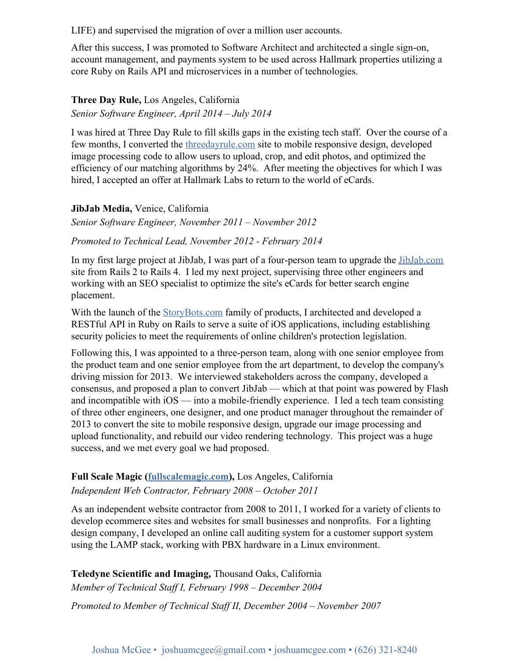LIFE) and supervised the migration of over a million user accounts.

After this success, I was promoted to Software Architect and architected a single sign-on, account management, and payments system to be used across Hallmark properties utilizing a core Ruby on Rails API and microservices in a number of technologies.

#### **Three Day Rule,** Los Angeles, California *Senior Software Engineer, April 2014 – July 2014*

I was hired at Three Day Rule to fill skills gaps in the existing tech staff. Over the course of a few months, I converted the [threedayrule.com](https://www.threedayrule.com/) site to mobile responsive design, developed image processing code to allow users to upload, crop, and edit photos, and optimized the efficiency of our matching algorithms by 24%. After meeting the objectives for which I was hired, I accepted an offer at Hallmark Labs to return to the world of eCards.

**JibJab Media,** Venice, California

*Senior Software Engineer, November 2011 – November 2012*

#### *Promoted to Technical Lead, November 2012 - February 2014*

In my first large project at JibJab, I was part of a four-person team to upgrade the [JibJab.com](http://www.jibjab.com/) site from Rails 2 to Rails 4. I led my next project, supervising three other engineers and working with an SEO specialist to optimize the site's eCards for better search engine placement.

With the launch of the [StoryBots.com](http://www.storybots.com/) family of products, I architected and developed a RESTful API in Ruby on Rails to serve a suite of iOS applications, including establishing security policies to meet the requirements of online children's protection legislation.

Following this, I was appointed to a three-person team, along with one senior employee from the product team and one senior employee from the art department, to develop the company's driving mission for 2013. We interviewed stakeholders across the company, developed a consensus, and proposed a plan to convert JibJab — which at that point was powered by Flash and incompatible with iOS — into a mobile-friendly experience. I led a tech team consisting of three other engineers, one designer, and one product manager throughout the remainder of 2013 to convert the site to mobile responsive design, upgrade our image processing and upload functionality, and rebuild our video rendering technology. This project was a huge success, and we met every goal we had proposed.

#### **Full Scale Magic ([fullscalemagic.com](http://fullscalemagic.com/)),** Los Angeles, California *Independent Web Contractor, February 2008 – October 2011*

As an independent website contractor from 2008 to 2011, I worked for a variety of clients to develop ecommerce sites and websites for small businesses and nonprofits. For a lighting design company, I developed an online call auditing system for a customer support system using the LAMP stack, working with PBX hardware in a Linux environment.

**Teledyne Scientific and Imaging,** Thousand Oaks, California *Member of Technical Staff I, February 1998 – December 2004*

*Promoted to Member of Technical Staff II, December 2004 – November 2007*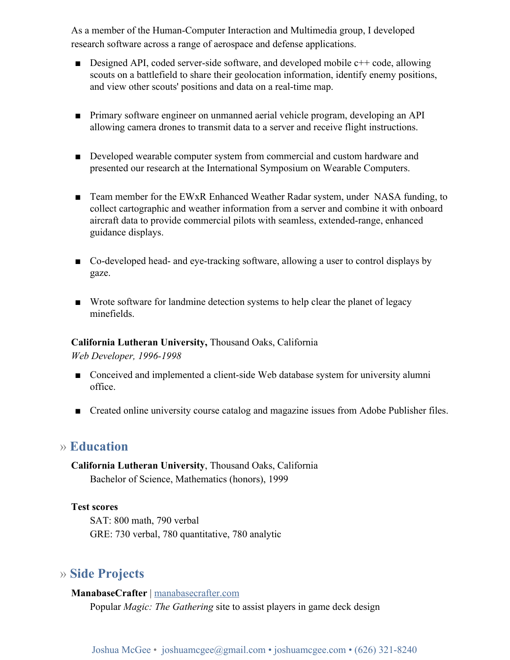As a member of the Human-Computer Interaction and Multimedia group, I developed research software across a range of aerospace and defense applications.

- **•** Designed API, coded server-side software, and developed mobile  $c++$  code, allowing scouts on a battlefield to share their geolocation information, identify enemy positions, and view other scouts' positions and data on a real-time map.
- Primary software engineer on unmanned aerial vehicle program, developing an API allowing camera drones to transmit data to a server and receive flight instructions.
- Developed wearable computer system from commercial and custom hardware and presented our research at the International Symposium on Wearable Computers.
- Team member for the EWxR Enhanced Weather Radar system, under NASA funding, to collect cartographic and weather information from a server and combine it with onboard aircraft data to provide commercial pilots with seamless, extended-range, enhanced guidance displays.
- Co-developed head- and eye-tracking software, allowing a user to control displays by gaze.
- Wrote software for landmine detection systems to help clear the planet of legacy minefields.

#### **California Lutheran University,** Thousand Oaks, California

*Web Developer, 1996-1998*

- Conceived and implemented a client-side Web database system for university alumni office.
- Created online university course catalog and magazine issues from Adobe Publisher files.

### » **Education**

**California Lutheran University**, Thousand Oaks, California Bachelor of Science, Mathematics (honors), 1999

#### **Test scores**

SAT: 800 math, 790 verbal GRE: 730 verbal, 780 quantitative, 780 analytic

# » **Side Projects**

**ManabaseCrafter** | [manabasecrafter.com](http://manabasecrafter.com/) Popular *Magic: The Gathering* site to assist players in game deck design